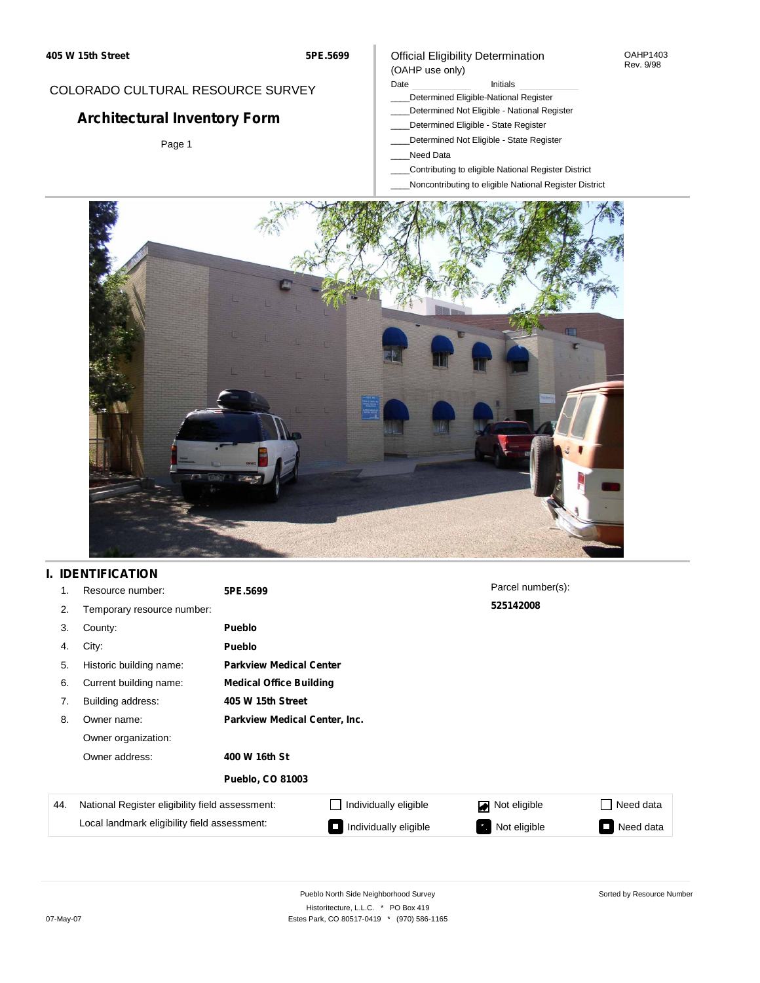#### OAHP1403 Rev. 9/98

## COLORADO CULTURAL RESOURCE SURVEY

# **Architectural Inventory Form**

Page 1

### Official Eligibility Determination (OAHP use only)

Date **Initials** Initials

- \_\_\_\_Determined Eligible-National Register
- \_\_\_\_Determined Not Eligible National Register
- \_\_\_\_Determined Eligible State Register
- \_\_\_\_Determined Not Eligible State Register
- \_\_\_\_Need Data
- \_\_\_\_Contributing to eligible National Register District
- \_\_\_\_Noncontributing to eligible National Register District



## **I. IDENTIFICATION**

| 1.  | Resource number:                                | 5PE.5699                       |                              | Parcel number(s): |                             |
|-----|-------------------------------------------------|--------------------------------|------------------------------|-------------------|-----------------------------|
| 2.  | Temporary resource number:                      |                                |                              | 525142008         |                             |
| 3.  | County:                                         | <b>Pueblo</b>                  |                              |                   |                             |
| 4.  | City:                                           | <b>Pueblo</b>                  |                              |                   |                             |
| 5.  | Historic building name:                         | <b>Parkview Medical Center</b> |                              |                   |                             |
| 6.  | Current building name:                          | <b>Medical Office Building</b> |                              |                   |                             |
| 7.  | Building address:                               | 405 W 15th Street              |                              |                   |                             |
| 8.  | Owner name:                                     | Parkview Medical Center, Inc.  |                              |                   |                             |
|     | Owner organization:                             |                                |                              |                   |                             |
|     | Owner address:                                  | 400 W 16th St                  |                              |                   |                             |
|     |                                                 | <b>Pueblo, CO 81003</b>        |                              |                   |                             |
| 44. | National Register eligibility field assessment: |                                | $\Box$ Individually eligible | Not eligible      | Need data<br>$\blacksquare$ |
|     | Local landmark eligibility field assessment:    |                                | Individually eligible        | Not eligible      | Need data<br>$\sim$         |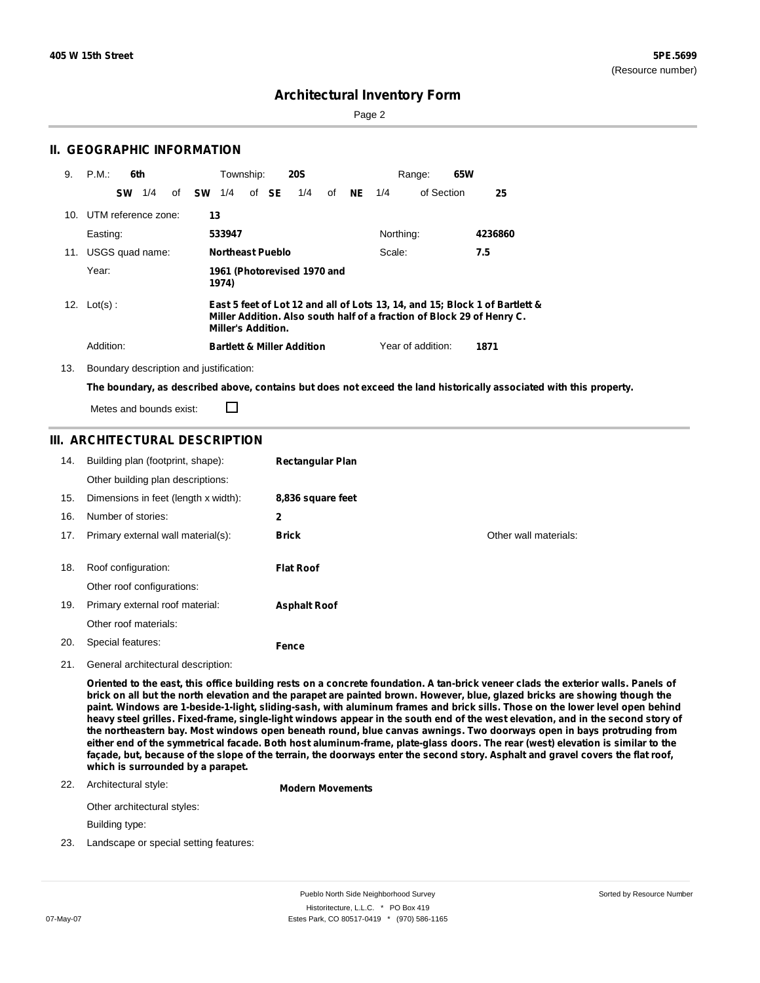Sorted by Resource Number

### **Architectural Inventory Form**

Page 2

| 9.  | P.M.<br>6th             | Township:<br><b>20S</b>                                                                                                                                                     | 65W<br>Range:                        |
|-----|-------------------------|-----------------------------------------------------------------------------------------------------------------------------------------------------------------------------|--------------------------------------|
|     | 1/4<br><b>SW</b><br>οf  | <b>SE</b><br><b>SW</b><br>of<br>1/4<br>1/4<br>of                                                                                                                            | 25<br><b>NE</b><br>1/4<br>of Section |
|     | 10. UTM reference zone: | 13                                                                                                                                                                          |                                      |
|     | Easting:                | 533947                                                                                                                                                                      | Northing:<br>4236860                 |
| 11. | USGS quad name:         | <b>Northeast Pueblo</b>                                                                                                                                                     | 7.5<br>Scale:                        |
|     | Year:                   | 1961 (Photorevised 1970 and<br>1974)                                                                                                                                        |                                      |
|     | 12. $Lot(s)$ :          | East 5 feet of Lot 12 and all of Lots 13, 14, and 15; Block 1 of Bartlett &<br>Miller Addition. Also south half of a fraction of Block 29 of Henry C.<br>Miller's Addition. |                                      |
|     | Addition:               | <b>Bartlett &amp; Miller Addition</b>                                                                                                                                       | Year of addition:<br>1871            |

13. Boundary description and justification:

**II. GEOGRAPHIC INFORMATION**

The boundary, as described above, contains but does not exceed the land historically associated with this property.

Metes and bounds exist:

П

### **III. ARCHITECTURAL DESCRIPTION**

| 14. | Building plan (footprint, shape):    | <b>Rectangular Plan</b> |                       |
|-----|--------------------------------------|-------------------------|-----------------------|
|     | Other building plan descriptions:    |                         |                       |
| 15. | Dimensions in feet (length x width): | 8,836 square feet       |                       |
| 16. | Number of stories:                   | 2                       |                       |
| 17. | Primary external wall material(s):   | <b>Brick</b>            | Other wall materials: |
|     |                                      |                         |                       |
|     |                                      |                         |                       |
| 18. | Roof configuration:                  | <b>Flat Roof</b>        |                       |
|     | Other roof configurations:           |                         |                       |
| 19. | Primary external roof material:      | <b>Asphalt Roof</b>     |                       |
|     | Other roof materials:                |                         |                       |

21. General architectural description:

Oriented to the east, this office building rests on a concrete foundation. A tan-brick veneer clads the exterior walls. Panels of brick on all but the north elevation and the parapet are painted brown. However, blue, glazed bricks are showing though the paint. Windows are 1-beside-1-light, sliding-sash, with aluminum frames and brick sills. Those on the lower level open behind heavy steel grilles. Fixed-frame, single-light windows appear in the south end of the west elevation, and in the second story of the northeastern bay. Most windows open beneath round, blue canvas awnings. Two doorways open in bays protruding from either end of the symmetrical facade. Both host aluminum-frame, plate-glass doors. The rear (west) elevation is similar to the façade, but, because of the slope of the terrain, the doorways enter the second story. Asphalt and gravel covers the flat roof, **which is surrounded by a parapet.**

#### 22. Architectural style:

**Modern Movements**

Other architectural styles:

Building type:

23. Landscape or special setting features: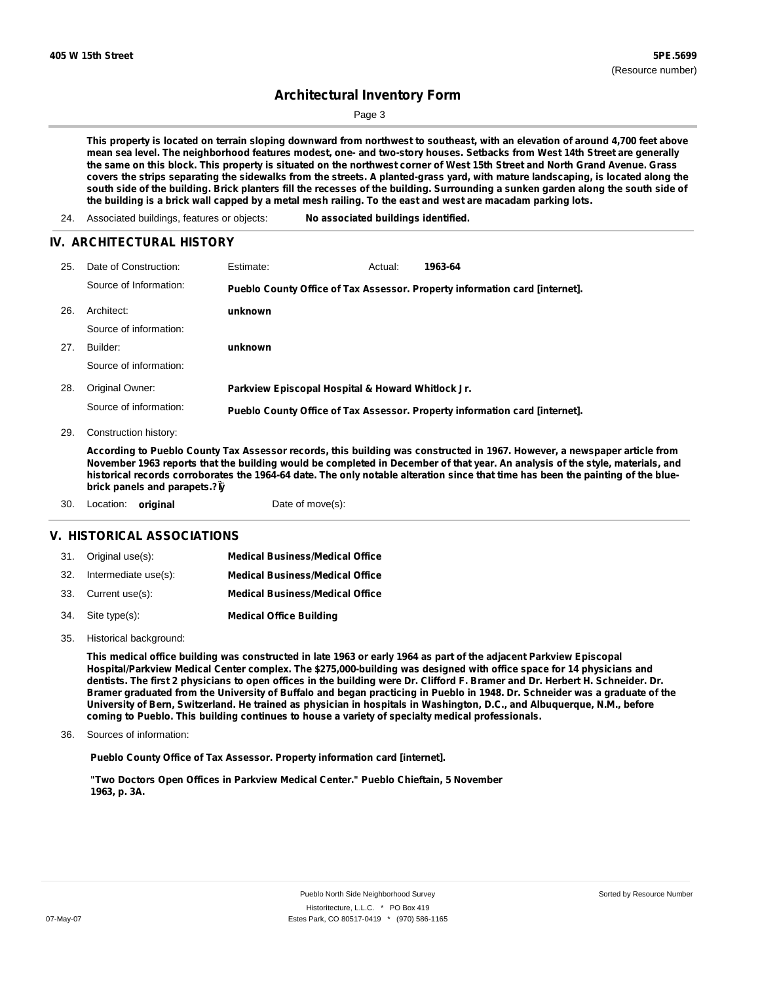## **Architectural Inventory Form**

Page 3

This property is located on terrain sloping downward from northwest to southeast, with an elevation of around 4,700 feet above mean sea level. The neighborhood features modest, one- and two-story houses. Setbacks from West 14th Street are generally the same on this block. This property is situated on the northwest corner of West 15th Street and North Grand Avenue. Grass covers the strips separating the sidewalks from the streets. A planted-grass yard, with mature landscaping, is located along the south side of the building. Brick planters fill the recesses of the building. Surrounding a sunken garden along the south side of the building is a brick wall capped by a metal mesh railing. To the east and west are macadam parking lots.

24. Associated buildings, features or objects: **No associated buildings identified.**

#### **IV. ARCHITECTURAL HISTORY**

| 25. | Date of Construction:  | Estimate:                                         | Actual: | 1963-64                                                                     |
|-----|------------------------|---------------------------------------------------|---------|-----------------------------------------------------------------------------|
|     | Source of Information: |                                                   |         | Pueblo County Office of Tax Assessor. Property information card [internet]. |
| 26. | Architect:             | unknown                                           |         |                                                                             |
|     | Source of information: |                                                   |         |                                                                             |
| 27. | Builder:               | unknown                                           |         |                                                                             |
|     | Source of information: |                                                   |         |                                                                             |
| 28. | Original Owner:        | Parkview Episcopal Hospital & Howard Whitlock Jr. |         |                                                                             |
|     | Source of information: |                                                   |         | Pueblo County Office of Tax Assessor. Property information card [internet]. |

29. Construction history:

According to Pueblo County Tax Assessor records, this building was constructed in 1967. However, a newspaper article from November 1963 reports that the building would be completed in December of that year. An analysis of the style, materials, and historical records corroborates the 1964-64 date. The only notable alteration since that time has been the painting of the blue**brick panels and parapets.?Ïÿ**

30. Location: **original** Date of move(s):

#### **V. HISTORICAL ASSOCIATIONS**

| 31. Original use(s):     | <b>Medical Business/Medical Office</b> |
|--------------------------|----------------------------------------|
| 32. Intermediate use(s): | <b>Medical Business/Medical Office</b> |
| 33. Current use(s):      | <b>Medical Business/Medical Office</b> |
| 34. Site type(s):        | <b>Medical Office Building</b>         |

35. Historical background:

This medical office building was constructed in late 1963 or early 1964 as part of the adjacent Parkview Episcopal **Hospital/Parkview Medical Center complex. The \$275,000-building was designed with office space for 14 physicians and** dentists. The first 2 physicians to open offices in the building were Dr. Clifford F. Bramer and Dr. Herbert H. Schneider. Dr. Bramer graduated from the University of Buffalo and began practicing in Pueblo in 1948. Dr. Schneider was a graduate of the University of Bern, Switzerland. He trained as physician in hospitals in Washington, D.C., and Albuquerque, N.M., before **coming to Pueblo. This building continues to house a variety of specialty medical professionals.**

Sources of information: 36.

**Pueblo County Office of Tax Assessor. Property information card [internet].**

**"Two Doctors Open Offices in Parkview Medical Center." Pueblo Chieftain, 5 November 1963, p. 3A.**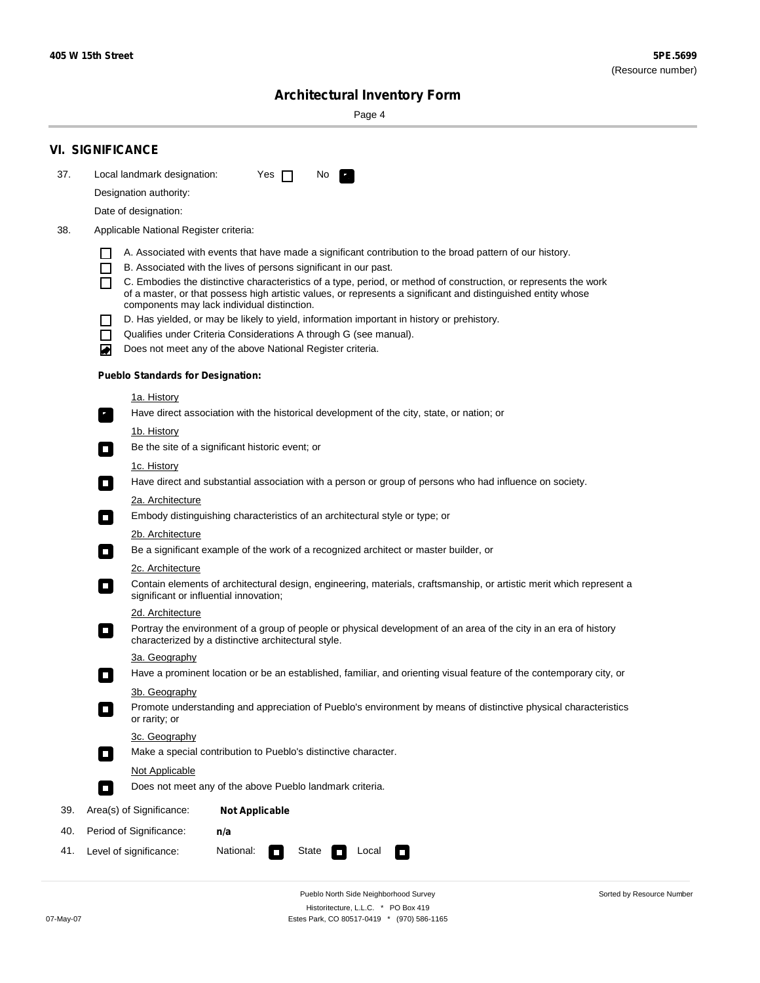Sorted by Resource Number

# **Architectural Inventory Form**

Page 4

|                                                                                                                                                                                                                                                                                                                                                                                          | <b>VI. SIGNIFICANCE</b>                                            |                                                                                                                                                                         |  |  |
|------------------------------------------------------------------------------------------------------------------------------------------------------------------------------------------------------------------------------------------------------------------------------------------------------------------------------------------------------------------------------------------|--------------------------------------------------------------------|-------------------------------------------------------------------------------------------------------------------------------------------------------------------------|--|--|
| 37.                                                                                                                                                                                                                                                                                                                                                                                      | Local landmark designation:                                        | Yes $\Box$<br>No.<br>LE.                                                                                                                                                |  |  |
|                                                                                                                                                                                                                                                                                                                                                                                          | Designation authority:                                             |                                                                                                                                                                         |  |  |
|                                                                                                                                                                                                                                                                                                                                                                                          | Date of designation:                                               |                                                                                                                                                                         |  |  |
| 38.<br>Applicable National Register criteria:                                                                                                                                                                                                                                                                                                                                            |                                                                    |                                                                                                                                                                         |  |  |
|                                                                                                                                                                                                                                                                                                                                                                                          |                                                                    | A. Associated with events that have made a significant contribution to the broad pattern of our history.                                                                |  |  |
|                                                                                                                                                                                                                                                                                                                                                                                          | $\mathbf{I}$                                                       | B. Associated with the lives of persons significant in our past.                                                                                                        |  |  |
|                                                                                                                                                                                                                                                                                                                                                                                          | П                                                                  | C. Embodies the distinctive characteristics of a type, period, or method of construction, or represents the work                                                        |  |  |
|                                                                                                                                                                                                                                                                                                                                                                                          |                                                                    | of a master, or that possess high artistic values, or represents a significant and distinguished entity whose<br>components may lack individual distinction.            |  |  |
|                                                                                                                                                                                                                                                                                                                                                                                          |                                                                    | D. Has yielded, or may be likely to yield, information important in history or prehistory.                                                                              |  |  |
|                                                                                                                                                                                                                                                                                                                                                                                          | $\blacksquare$                                                     | Qualifies under Criteria Considerations A through G (see manual).                                                                                                       |  |  |
|                                                                                                                                                                                                                                                                                                                                                                                          | ▰                                                                  | Does not meet any of the above National Register criteria.                                                                                                              |  |  |
|                                                                                                                                                                                                                                                                                                                                                                                          | <b>Pueblo Standards for Designation:</b>                           |                                                                                                                                                                         |  |  |
|                                                                                                                                                                                                                                                                                                                                                                                          | 1a. History                                                        |                                                                                                                                                                         |  |  |
|                                                                                                                                                                                                                                                                                                                                                                                          | $\mathbf{r}_1$                                                     | Have direct association with the historical development of the city, state, or nation; or                                                                               |  |  |
|                                                                                                                                                                                                                                                                                                                                                                                          | <u>1b. History</u>                                                 |                                                                                                                                                                         |  |  |
|                                                                                                                                                                                                                                                                                                                                                                                          | $\mathcal{L}_{\mathcal{A}}$                                        | Be the site of a significant historic event; or                                                                                                                         |  |  |
|                                                                                                                                                                                                                                                                                                                                                                                          | 1c. History                                                        |                                                                                                                                                                         |  |  |
| Have direct and substantial association with a person or group of persons who had influence on society.<br>$\mathcal{L}_{\mathcal{A}}$<br>2a. Architecture<br>Embody distinguishing characteristics of an architectural style or type; or<br>$\Box$<br>2b. Architecture<br>Be a significant example of the work of a recognized architect or master builder, or<br>п<br>2c. Architecture |                                                                    |                                                                                                                                                                         |  |  |
|                                                                                                                                                                                                                                                                                                                                                                                          |                                                                    |                                                                                                                                                                         |  |  |
|                                                                                                                                                                                                                                                                                                                                                                                          |                                                                    |                                                                                                                                                                         |  |  |
|                                                                                                                                                                                                                                                                                                                                                                                          |                                                                    |                                                                                                                                                                         |  |  |
|                                                                                                                                                                                                                                                                                                                                                                                          |                                                                    |                                                                                                                                                                         |  |  |
|                                                                                                                                                                                                                                                                                                                                                                                          | о<br>significant or influential innovation;                        | Contain elements of architectural design, engineering, materials, craftsmanship, or artistic merit which represent a                                                    |  |  |
|                                                                                                                                                                                                                                                                                                                                                                                          | 2d. Architecture                                                   |                                                                                                                                                                         |  |  |
|                                                                                                                                                                                                                                                                                                                                                                                          | о                                                                  | Portray the environment of a group of people or physical development of an area of the city in an era of history<br>characterized by a distinctive architectural style. |  |  |
|                                                                                                                                                                                                                                                                                                                                                                                          | 3a. Geography                                                      |                                                                                                                                                                         |  |  |
|                                                                                                                                                                                                                                                                                                                                                                                          |                                                                    | Have a prominent location or be an established, familiar, and orienting visual feature of the contemporary city, or                                                     |  |  |
| 3b. Geography                                                                                                                                                                                                                                                                                                                                                                            |                                                                    | Promote understanding and appreciation of Pueblo's environment by means of distinctive physical characteristics                                                         |  |  |
|                                                                                                                                                                                                                                                                                                                                                                                          | or rarity; or                                                      |                                                                                                                                                                         |  |  |
|                                                                                                                                                                                                                                                                                                                                                                                          | 3c. Geography                                                      |                                                                                                                                                                         |  |  |
| Make a special contribution to Pueblo's distinctive character.<br>$\mathcal{L}_{\mathcal{A}}$                                                                                                                                                                                                                                                                                            |                                                                    |                                                                                                                                                                         |  |  |
|                                                                                                                                                                                                                                                                                                                                                                                          | Not Applicable                                                     |                                                                                                                                                                         |  |  |
|                                                                                                                                                                                                                                                                                                                                                                                          | Does not meet any of the above Pueblo landmark criteria.<br>$\Box$ |                                                                                                                                                                         |  |  |
| 39.                                                                                                                                                                                                                                                                                                                                                                                      | Area(s) of Significance:                                           | <b>Not Applicable</b>                                                                                                                                                   |  |  |
| 40.                                                                                                                                                                                                                                                                                                                                                                                      | Period of Significance:                                            | n/a                                                                                                                                                                     |  |  |
| 41.                                                                                                                                                                                                                                                                                                                                                                                      | Level of significance:                                             | National:<br>State<br>Local<br>$\overline{\phantom{a}}$<br><b>The State</b><br>$\Box$                                                                                   |  |  |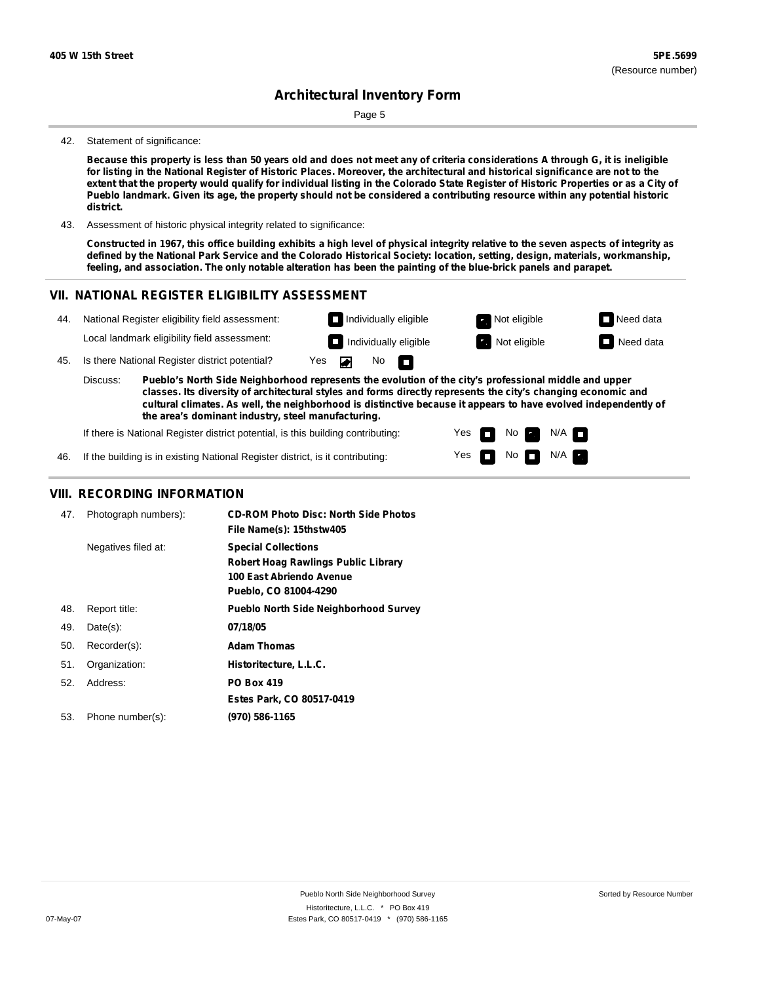# **Architectural Inventory Form**

Page 5

#### 42. Statement of significance:

Because this property is less than 50 years old and does not meet any of criteria considerations A through G, it is ineligible for listing in the National Register of Historic Places. Moreover, the architectural and historical significance are not to the extent that the property would qualify for individual listing in the Colorado State Register of Historic Properties or as a City of Pueblo landmark. Given its age, the property should not be considered a contributing resource within any potential historic **district.**

43. Assessment of historic physical integrity related to significance:

Constructed in 1967, this office building exhibits a high level of physical integrity relative to the seven aspects of integrity as defined by the National Park Service and the Colorado Historical Society: location, setting, design, materials, workmanship, feeling, and association. The only notable alteration has been the painting of the blue-brick panels and parapet.

### **VII. NATIONAL REGISTER ELIGIBILITY ASSESSMENT**



Yes Yes

m ш No **Ex** 

 $N$ o  $N/A$ 

 $N/A$   $\Box$ 

If there is National Register district potential, is this building contributing:

If the building is in existing National Register district, is it contributing: 46.

### **VIII. RECORDING INFORMATION**

| 47. | Photograph numbers): | <b>CD-ROM Photo Disc: North Side Photos</b><br>File Name(s): 15thstw405                                                       |
|-----|----------------------|-------------------------------------------------------------------------------------------------------------------------------|
|     | Negatives filed at:  | <b>Special Collections</b><br><b>Robert Hoag Rawlings Public Library</b><br>100 East Abriendo Avenue<br>Pueblo, CO 81004-4290 |
| 48. | Report title:        | <b>Pueblo North Side Neighborhood Survey</b>                                                                                  |
| 49. | $Date(s)$ :          | 07/18/05                                                                                                                      |
| 50. | Recorder(s):         | <b>Adam Thomas</b>                                                                                                            |
| 51. | Organization:        | Historitecture, L.L.C.                                                                                                        |
| 52. | Address:             | <b>PO Box 419</b>                                                                                                             |
|     |                      | Estes Park, CO 80517-0419                                                                                                     |
| 53. | Phone number(s):     | (970) 586-1165                                                                                                                |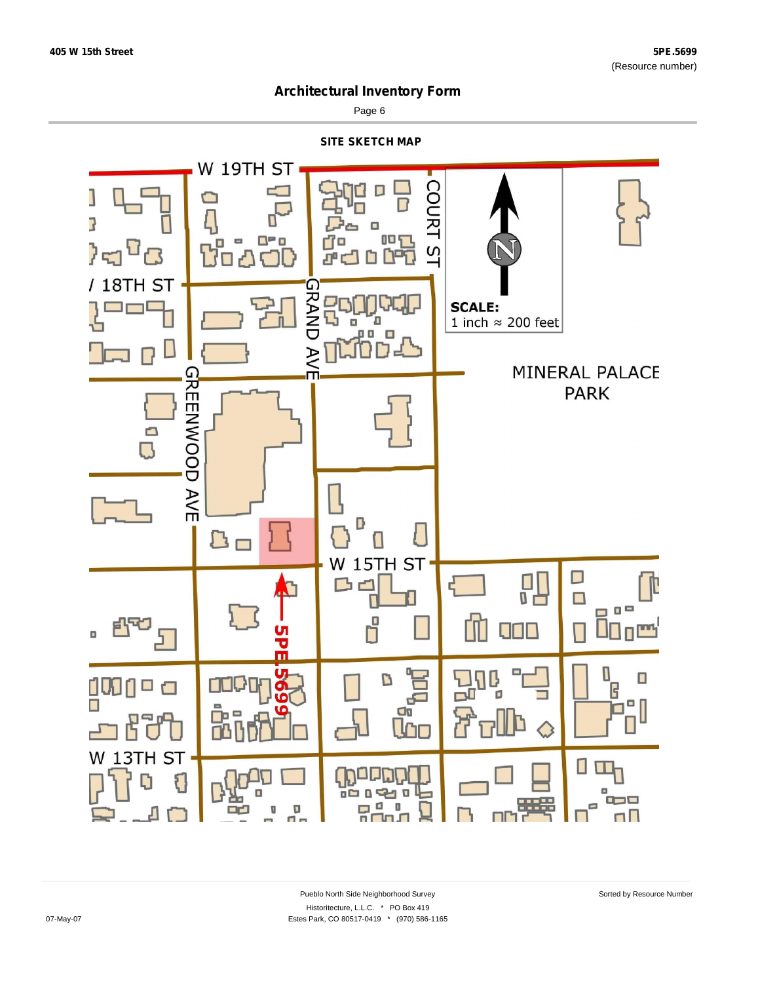

Page 6